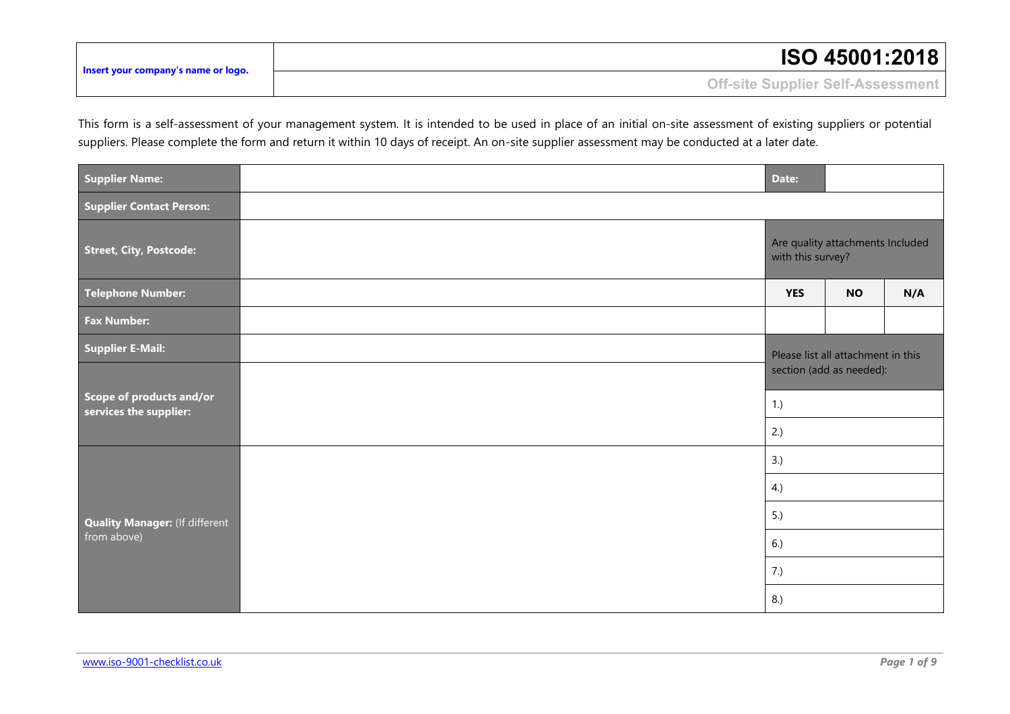| Insert your company's name or logo. | <b>ISO 45001:2018</b>             |
|-------------------------------------|-----------------------------------|
|                                     | Off-site Supplier Self-Assessment |

This form is a self-assessment of your management system. It is intended to be used in place of an initial on-site assessment of existing suppliers or potential suppliers. Please complete the form and return it within 10 days of receipt. An on-site supplier assessment may be conducted at a later date.

| <b>Supplier Name:</b>                                |  | Date:                                                 |           |     |
|------------------------------------------------------|--|-------------------------------------------------------|-----------|-----|
| Supplier Contact Person:                             |  |                                                       |           |     |
| <b>Street, City, Postcode:</b>                       |  | Are quality attachments Included<br>with this survey? |           |     |
| <b>Telephone Number:</b>                             |  | <b>YES</b>                                            | <b>NO</b> | N/A |
| <b>Fax Number:</b>                                   |  |                                                       |           |     |
| <b>Supplier E-Mail:</b>                              |  | Please list all attachment in this                    |           |     |
| Scope of products and/or<br>services the supplier:   |  | section (add as needed):                              |           |     |
|                                                      |  |                                                       | 1.)       |     |
|                                                      |  | 2.)                                                   |           |     |
| <b>Quality Manager: (If different</b><br>from above) |  | 3.)<br>4.)<br>5.)<br>6.)                              |           |     |
|                                                      |  |                                                       |           |     |
|                                                      |  |                                                       |           |     |
|                                                      |  |                                                       |           |     |
|                                                      |  | 7.)                                                   |           |     |
|                                                      |  | 8.)                                                   |           |     |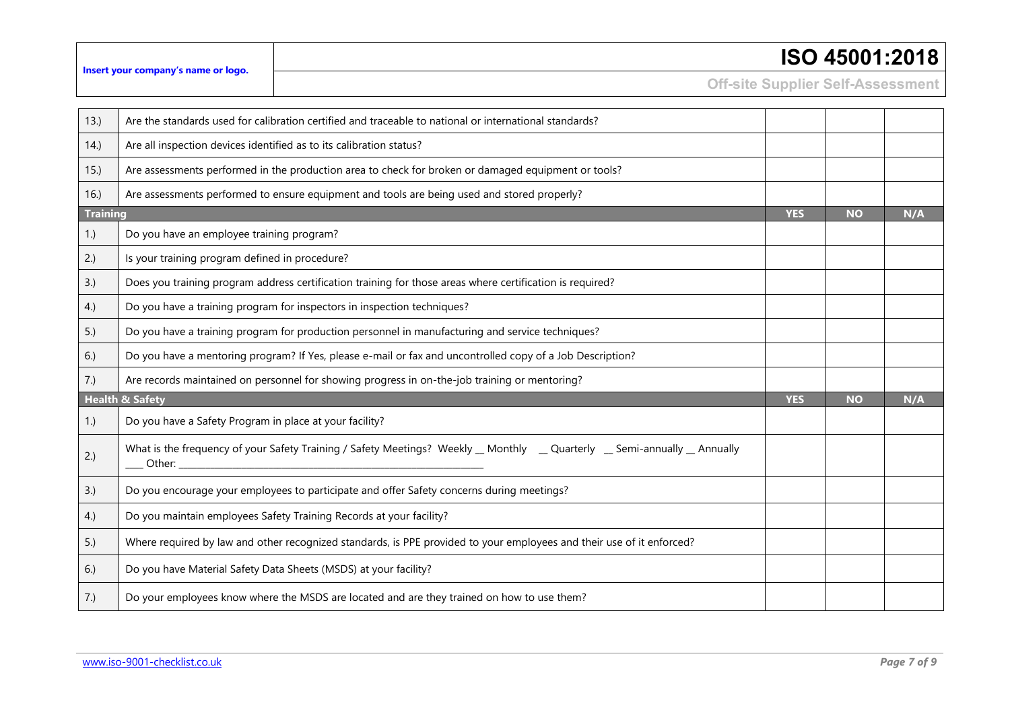|  | ISO 45001:2018 |  |
|--|----------------|--|
|--|----------------|--|

**Off-site Supplier Self-Assessment**

| 13.)            | Are the standards used for calibration certified and traceable to national or international standards?                   |            |           |     |
|-----------------|--------------------------------------------------------------------------------------------------------------------------|------------|-----------|-----|
| 14.             | Are all inspection devices identified as to its calibration status?                                                      |            |           |     |
| 15.)            | Are assessments performed in the production area to check for broken or damaged equipment or tools?                      |            |           |     |
| 16.             | Are assessments performed to ensure equipment and tools are being used and stored properly?                              |            |           |     |
| <b>Training</b> |                                                                                                                          | <b>YES</b> | <b>NO</b> | N/A |
| 1.)             | Do you have an employee training program?                                                                                |            |           |     |
| 2.)             | Is your training program defined in procedure?                                                                           |            |           |     |
| 3.)             | Does you training program address certification training for those areas where certification is required?                |            |           |     |
| 4.)             | Do you have a training program for inspectors in inspection techniques?                                                  |            |           |     |
| 5.)             | Do you have a training program for production personnel in manufacturing and service techniques?                         |            |           |     |
| 6.)             | Do you have a mentoring program? If Yes, please e-mail or fax and uncontrolled copy of a Job Description?                |            |           |     |
| 7.)             | Are records maintained on personnel for showing progress in on-the-job training or mentoring?                            |            |           |     |
|                 | <b>Health &amp; Safety</b>                                                                                               | <b>YES</b> | <b>NO</b> | N/A |
| 1.)             | Do you have a Safety Program in place at your facility?                                                                  |            |           |     |
| 2.)             | What is the frequency of your Safety Training / Safety Meetings? Weekly _ Monthly _ Quarterly _ Semi-annually _ Annually |            |           |     |
| 3.)             | Do you encourage your employees to participate and offer Safety concerns during meetings?                                |            |           |     |
| 4.)             | Do you maintain employees Safety Training Records at your facility?                                                      |            |           |     |
| 5.)             | Where required by law and other recognized standards, is PPE provided to your employees and their use of it enforced?    |            |           |     |
| 6.)             | Do you have Material Safety Data Sheets (MSDS) at your facility?                                                         |            |           |     |
| 7.)             | Do your employees know where the MSDS are located and are they trained on how to use them?                               |            |           |     |